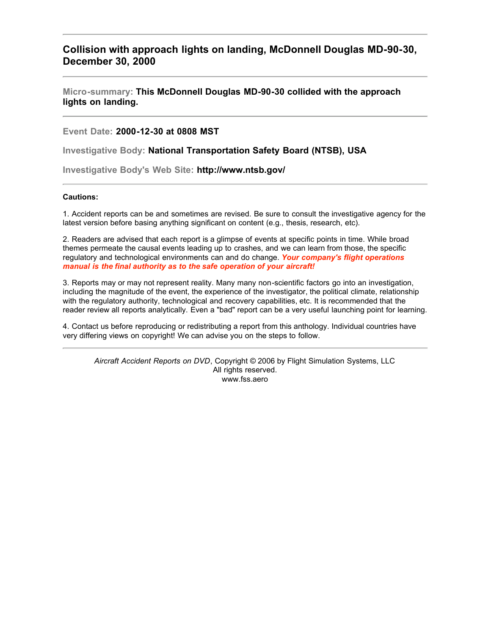## **Collision with approach lights on landing, McDonnell Douglas MD-90-30, December 30, 2000**

**Micro-summary: This McDonnell Douglas MD-90-30 collided with the approach lights on landing.**

**Event Date: 2000-12-30 at 0808 MST**

**Investigative Body: National Transportation Safety Board (NTSB), USA**

**Investigative Body's Web Site: http://www.ntsb.gov/**

## **Cautions:**

1. Accident reports can be and sometimes are revised. Be sure to consult the investigative agency for the latest version before basing anything significant on content (e.g., thesis, research, etc).

2. Readers are advised that each report is a glimpse of events at specific points in time. While broad themes permeate the causal events leading up to crashes, and we can learn from those, the specific regulatory and technological environments can and do change. *Your company's flight operations manual is the final authority as to the safe operation of your aircraft!*

3. Reports may or may not represent reality. Many many non-scientific factors go into an investigation, including the magnitude of the event, the experience of the investigator, the political climate, relationship with the regulatory authority, technological and recovery capabilities, etc. It is recommended that the reader review all reports analytically. Even a "bad" report can be a very useful launching point for learning.

4. Contact us before reproducing or redistributing a report from this anthology. Individual countries have very differing views on copyright! We can advise you on the steps to follow.

*Aircraft Accident Reports on DVD*, Copyright © 2006 by Flight Simulation Systems, LLC All rights reserved. www.fss.aero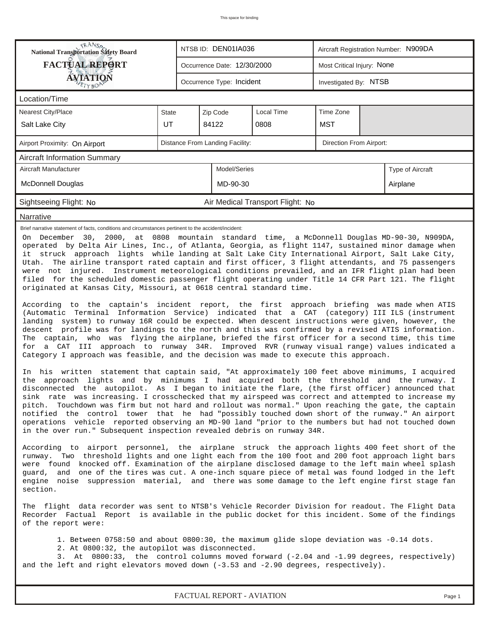| <b>National Transportation Safety Board</b>                                                                                                                                                                                                                                                                                                                                                                                                                                                                                                                                                                                                                                                                                                                                                                                                                                                                                                                                                                                                                                                                                                                                                                                                                                                                                                                                                                                                                                                                                                                                                                                                                                                                                                                                                                              |              | NTSB ID: DEN01IA036<br>Aircraft Registration Number: N909DA |          |                                  |           |  |  |  |  |  |
|--------------------------------------------------------------------------------------------------------------------------------------------------------------------------------------------------------------------------------------------------------------------------------------------------------------------------------------------------------------------------------------------------------------------------------------------------------------------------------------------------------------------------------------------------------------------------------------------------------------------------------------------------------------------------------------------------------------------------------------------------------------------------------------------------------------------------------------------------------------------------------------------------------------------------------------------------------------------------------------------------------------------------------------------------------------------------------------------------------------------------------------------------------------------------------------------------------------------------------------------------------------------------------------------------------------------------------------------------------------------------------------------------------------------------------------------------------------------------------------------------------------------------------------------------------------------------------------------------------------------------------------------------------------------------------------------------------------------------------------------------------------------------------------------------------------------------|--------------|-------------------------------------------------------------|----------|----------------------------------|-----------|--|--|--|--|--|
| <b>FACTUAL REPORT</b>                                                                                                                                                                                                                                                                                                                                                                                                                                                                                                                                                                                                                                                                                                                                                                                                                                                                                                                                                                                                                                                                                                                                                                                                                                                                                                                                                                                                                                                                                                                                                                                                                                                                                                                                                                                                    |              | Most Critical Injury: None                                  |          |                                  |           |  |  |  |  |  |
| <b>AVIATION</b><br>Occurrence Type: Incident<br>Investigated By: NTSB                                                                                                                                                                                                                                                                                                                                                                                                                                                                                                                                                                                                                                                                                                                                                                                                                                                                                                                                                                                                                                                                                                                                                                                                                                                                                                                                                                                                                                                                                                                                                                                                                                                                                                                                                    |              |                                                             |          |                                  |           |  |  |  |  |  |
| Location/Time                                                                                                                                                                                                                                                                                                                                                                                                                                                                                                                                                                                                                                                                                                                                                                                                                                                                                                                                                                                                                                                                                                                                                                                                                                                                                                                                                                                                                                                                                                                                                                                                                                                                                                                                                                                                            |              |                                                             |          |                                  |           |  |  |  |  |  |
| Nearest City/Place                                                                                                                                                                                                                                                                                                                                                                                                                                                                                                                                                                                                                                                                                                                                                                                                                                                                                                                                                                                                                                                                                                                                                                                                                                                                                                                                                                                                                                                                                                                                                                                                                                                                                                                                                                                                       | <b>State</b> |                                                             | Zip Code | Local Time                       | Time Zone |  |  |  |  |  |
| Salt Lake City                                                                                                                                                                                                                                                                                                                                                                                                                                                                                                                                                                                                                                                                                                                                                                                                                                                                                                                                                                                                                                                                                                                                                                                                                                                                                                                                                                                                                                                                                                                                                                                                                                                                                                                                                                                                           | UT           | <b>MST</b><br>84122<br>0808                                 |          |                                  |           |  |  |  |  |  |
| Distance From Landing Facility:<br>Direction From Airport:<br>Airport Proximity: On Airport                                                                                                                                                                                                                                                                                                                                                                                                                                                                                                                                                                                                                                                                                                                                                                                                                                                                                                                                                                                                                                                                                                                                                                                                                                                                                                                                                                                                                                                                                                                                                                                                                                                                                                                              |              |                                                             |          |                                  |           |  |  |  |  |  |
| Aircraft Information Summary                                                                                                                                                                                                                                                                                                                                                                                                                                                                                                                                                                                                                                                                                                                                                                                                                                                                                                                                                                                                                                                                                                                                                                                                                                                                                                                                                                                                                                                                                                                                                                                                                                                                                                                                                                                             |              |                                                             |          |                                  |           |  |  |  |  |  |
| Aircraft Manufacturer<br>Model/Series<br>Type of Aircraft                                                                                                                                                                                                                                                                                                                                                                                                                                                                                                                                                                                                                                                                                                                                                                                                                                                                                                                                                                                                                                                                                                                                                                                                                                                                                                                                                                                                                                                                                                                                                                                                                                                                                                                                                                |              |                                                             |          |                                  |           |  |  |  |  |  |
| <b>McDonnell Douglas</b><br>MD-90-30<br>Airplane                                                                                                                                                                                                                                                                                                                                                                                                                                                                                                                                                                                                                                                                                                                                                                                                                                                                                                                                                                                                                                                                                                                                                                                                                                                                                                                                                                                                                                                                                                                                                                                                                                                                                                                                                                         |              |                                                             |          |                                  |           |  |  |  |  |  |
| Sightseeing Flight: No                                                                                                                                                                                                                                                                                                                                                                                                                                                                                                                                                                                                                                                                                                                                                                                                                                                                                                                                                                                                                                                                                                                                                                                                                                                                                                                                                                                                                                                                                                                                                                                                                                                                                                                                                                                                   |              |                                                             |          | Air Medical Transport Flight: No |           |  |  |  |  |  |
| Narrative                                                                                                                                                                                                                                                                                                                                                                                                                                                                                                                                                                                                                                                                                                                                                                                                                                                                                                                                                                                                                                                                                                                                                                                                                                                                                                                                                                                                                                                                                                                                                                                                                                                                                                                                                                                                                |              |                                                             |          |                                  |           |  |  |  |  |  |
| it struck approach lights while landing at Salt Lake City International Airport, Salt Lake City,<br>The airline transport rated captain and first officer, 3 flight attendants, and 75 passengers<br>Utah.<br>were not injured. Instrument meteorological conditions prevailed, and an IFR flight plan had been<br>filed for the scheduled domestic passenger flight operating under Title 14 CFR Part 121. The flight<br>originated at Kansas City, Missouri, at 0618 central standard time.<br>According to the captain's incident report, the first approach briefing was made when ATIS<br>(Automatic Terminal Information Service) indicated that a CAT (category) III ILS (instrument<br>landing system) to runway 16R could be expected. When descent instructions were given, however, the<br>descent profile was for landings to the north and this was confirmed by a revised ATIS information.<br>The captain, who was flying the airplane, briefed the first officer for a second time, this time<br>for a CAT III approach to runway 34R. Improved RVR (runway visual range) values indicated a<br>Category I approach was feasible, and the decision was made to execute this approach.<br>In his written statement that captain said, "At approximately 100 feet above minimums, I acquired<br>the approach lights and by minimums I had acquired both the threshold and the runway. I<br>disconnected the autopilot. As I began to initiate the flare, (the first officer) announced that<br>sink rate was increasing. I crosschecked that my airspeed was correct and attempted to increase my<br>pitch. Touchdown was firm but not hard and rollout was normal." Upon reaching the gate, the captain<br>notified the control tower that he had "possibly touched down short of the runway." An airport |              |                                                             |          |                                  |           |  |  |  |  |  |
| in the over run." Subsequent inspection revealed debris on runway 34R.<br>According to airport personnel, the airplane struck the approach lights 400 feet short of the<br>runway. Two threshold lights and one light each from the 100 foot and 200 foot approach light bars<br>were found knocked off. Examination of the airplane disclosed damage to the left main wheel splash<br>guard, and one of the tires was cut. A one-inch square piece of metal was found lodged in the left<br>engine noise suppression material, and there was some damage to the left engine first stage fan<br>section.                                                                                                                                                                                                                                                                                                                                                                                                                                                                                                                                                                                                                                                                                                                                                                                                                                                                                                                                                                                                                                                                                                                                                                                                                 |              |                                                             |          |                                  |           |  |  |  |  |  |
| The flight data recorder was sent to NTSB's Vehicle Recorder Division for readout. The Flight Data<br>Recorder Factual Report is available in the public docket for this incident. Some of the findings<br>of the report were:                                                                                                                                                                                                                                                                                                                                                                                                                                                                                                                                                                                                                                                                                                                                                                                                                                                                                                                                                                                                                                                                                                                                                                                                                                                                                                                                                                                                                                                                                                                                                                                           |              |                                                             |          |                                  |           |  |  |  |  |  |
| 1. Between 0758:50 and about 0800:30, the maximum glide slope deviation was -0.14 dots.<br>2. At 0800:32, the autopilot was disconnected.<br>3. At 0800:33, the control columns moved forward (-2.04 and -1.99 degrees, respectively)<br>and the left and right elevators moved down $(-3.53$ and $-2.90$ degrees, respectively).                                                                                                                                                                                                                                                                                                                                                                                                                                                                                                                                                                                                                                                                                                                                                                                                                                                                                                                                                                                                                                                                                                                                                                                                                                                                                                                                                                                                                                                                                        |              |                                                             |          |                                  |           |  |  |  |  |  |
| FACTUAL REPORT - AVIATION<br>Page 1                                                                                                                                                                                                                                                                                                                                                                                                                                                                                                                                                                                                                                                                                                                                                                                                                                                                                                                                                                                                                                                                                                                                                                                                                                                                                                                                                                                                                                                                                                                                                                                                                                                                                                                                                                                      |              |                                                             |          |                                  |           |  |  |  |  |  |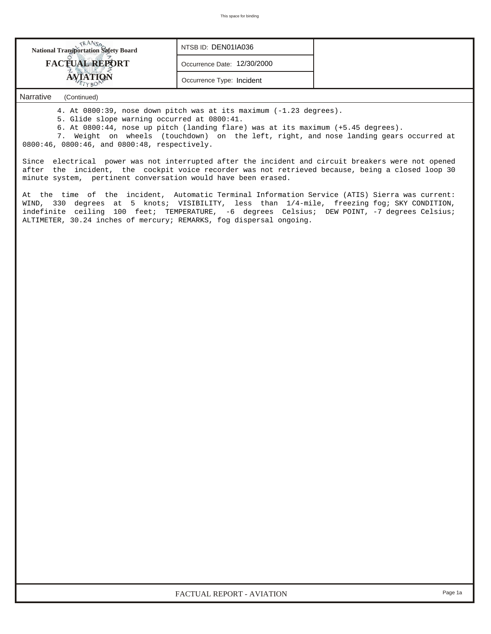| <b>National Transportation Safety Board</b> | NTSB ID: DEN01IA036         |  |
|---------------------------------------------|-----------------------------|--|
| <b>FACTUAL REPORT</b>                       | Occurrence Date: 12/30/2000 |  |
| <b>VIATION</b>                              | Occurrence Type: Incident   |  |
| Narrative<br>(Continued)                    |                             |  |

4. At 0800:39, nose down pitch was at its maximum (-1.23 degrees).

5. Glide slope warning occurred at 0800:41.

6. At 0800:44, nose up pitch (landing flare) was at its maximum (+5.45 degrees).

 7. Weight on wheels (touchdown) on the left, right, and nose landing gears occurred at 0800:46, 0800:46, and 0800:48, respectively.

Since electrical power was not interrupted after the incident and circuit breakers were not opened after the incident, the cockpit voice recorder was not retrieved because, being a closed loop 30 minute system, pertinent conversation would have been erased.

At the time of the incident, Automatic Terminal Information Service (ATIS) Sierra was current: WIND, 330 degrees at 5 knots; VISIBILITY, less than 1/4-mile, freezing fog; SKY CONDITION, indefinite ceiling 100 feet; TEMPERATURE, -6 degrees Celsius; DEW POINT, -7 degrees Celsius; ALTIMETER, 30.24 inches of mercury; REMARKS, fog dispersal ongoing.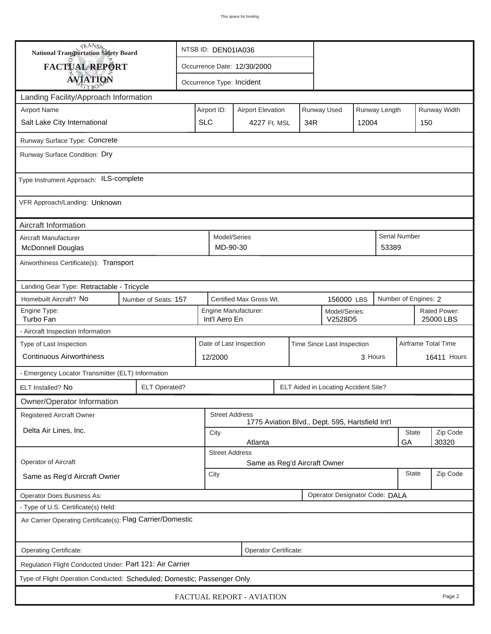| <b>National Transportation Safety Board</b>                               |                                                                   |                                                       | NTSB ID: DEN01IA036   |                           |     |  |                                                  |          |                           |                      |              |  |
|---------------------------------------------------------------------------|-------------------------------------------------------------------|-------------------------------------------------------|-----------------------|---------------------------|-----|--|--------------------------------------------------|----------|---------------------------|----------------------|--------------|--|
| FACTUAL REPORT                                                            | Occurrence Date: 12/30/2000                                       |                                                       |                       |                           |     |  |                                                  |          |                           |                      |              |  |
| <b>AVIATION</b>                                                           |                                                                   | Occurrence Type: Incident                             |                       |                           |     |  |                                                  |          |                           |                      |              |  |
| Landing Facility/Approach Information                                     |                                                                   |                                                       |                       |                           |     |  |                                                  |          |                           |                      |              |  |
| <b>Airport Name</b>                                                       |                                                                   | Airport ID:                                           |                       | <b>Airport Elevation</b>  |     |  | Runway Used                                      |          | Runway Length             |                      | Runway Width |  |
| Salt Lake City International                                              | <b>SLC</b>                                                        |                                                       | 4227 Ft. MSL          |                           | 34R |  | 12004                                            |          | 150                       |                      |              |  |
| Runway Surface Type: Concrete                                             |                                                                   |                                                       |                       |                           |     |  |                                                  |          |                           |                      |              |  |
| Runway Surface Condition: Dry                                             |                                                                   |                                                       |                       |                           |     |  |                                                  |          |                           |                      |              |  |
| Type Instrument Approach: ILS-complete                                    |                                                                   |                                                       |                       |                           |     |  |                                                  |          |                           |                      |              |  |
| VFR Approach/Landing: Unknown                                             |                                                                   |                                                       |                       |                           |     |  |                                                  |          |                           |                      |              |  |
| Aircraft Information                                                      |                                                                   |                                                       |                       |                           |     |  |                                                  |          |                           |                      |              |  |
| Aircraft Manufacturer<br><b>McDonnell Douglas</b>                         |                                                                   | Model/Series<br>MD-90-30                              |                       |                           |     |  |                                                  |          | 53389                     | <b>Serial Number</b> |              |  |
| Airworthiness Certificate(s): Transport                                   |                                                                   |                                                       |                       |                           |     |  |                                                  |          |                           |                      |              |  |
| Landing Gear Type: Retractable - Tricycle                                 |                                                                   |                                                       |                       |                           |     |  |                                                  |          |                           |                      |              |  |
| Homebuilt Aircraft? No<br>Certified Max Gross Wt.<br>Number of Seats: 157 |                                                                   |                                                       |                       |                           |     |  | 156000 LBS                                       |          |                           | Number of Engines: 2 |              |  |
| Engine Type:<br>Turbo Fan                                                 | Engine Manufacturer:<br>Model/Series:<br>Int'l Aero En<br>V2528D5 |                                                       |                       |                           |     |  |                                                  |          | Rated Power:<br>25000 LBS |                      |              |  |
| - Aircraft Inspection Information                                         |                                                                   |                                                       |                       |                           |     |  |                                                  |          |                           |                      |              |  |
| Type of Last Inspection                                                   |                                                                   | Date of Last Inspection<br>Time Since Last Inspection |                       |                           |     |  |                                                  |          | Airframe Total Time       |                      |              |  |
| <b>Continuous Airworthiness</b>                                           |                                                                   |                                                       | 3 Hours<br>12/2000    |                           |     |  |                                                  |          | <b>16411 Hours</b>        |                      |              |  |
| - Emergency Locator Transmitter (ELT) Information                         |                                                                   |                                                       |                       |                           |     |  |                                                  |          |                           |                      |              |  |
| ELT Installed? No                                                         | <b>ELT Operated?</b>                                              |                                                       |                       |                           |     |  | ELT Aided in Locating Accident Site?             |          |                           |                      |              |  |
| Owner/Operator Information                                                |                                                                   |                                                       |                       |                           |     |  |                                                  |          |                           |                      |              |  |
| Registered Aircraft Owner                                                 |                                                                   |                                                       | <b>Street Address</b> |                           |     |  | 1775 Aviation Blvd., Dept. 595, Hartsfield Int'l |          |                           |                      |              |  |
| Delta Air Lines, Inc.                                                     | <b>State</b><br>City                                              |                                                       |                       |                           |     |  |                                                  |          | Zip Code                  |                      |              |  |
|                                                                           | GA<br>30320<br>Atlanta<br><b>Street Address</b>                   |                                                       |                       |                           |     |  |                                                  |          |                           |                      |              |  |
| Operator of Aircraft                                                      | Same as Reg'd Aircraft Owner                                      |                                                       |                       |                           |     |  |                                                  |          |                           |                      |              |  |
| Same as Reg'd Aircraft Owner                                              | <b>State</b><br>City                                              |                                                       |                       |                           |     |  |                                                  | Zip Code |                           |                      |              |  |
| Operator Designator Code: DALA<br><b>Operator Does Business As:</b>       |                                                                   |                                                       |                       |                           |     |  |                                                  |          |                           |                      |              |  |
| - Type of U.S. Certificate(s) Held:                                       |                                                                   |                                                       |                       |                           |     |  |                                                  |          |                           |                      |              |  |
| Air Carrier Operating Certificate(s): Flag Carrier/Domestic               |                                                                   |                                                       |                       |                           |     |  |                                                  |          |                           |                      |              |  |
| Operating Certificate:                                                    |                                                                   |                                                       |                       | Operator Certificate:     |     |  |                                                  |          |                           |                      |              |  |
| Regulation Flight Conducted Under: Part 121: Air Carrier                  |                                                                   |                                                       |                       |                           |     |  |                                                  |          |                           |                      |              |  |
| Type of Flight Operation Conducted: Scheduled; Domestic; Passenger Only   |                                                                   |                                                       |                       |                           |     |  |                                                  |          |                           |                      |              |  |
|                                                                           |                                                                   |                                                       |                       | FACTUAL REPORT - AVIATION |     |  |                                                  |          |                           |                      | Page 2       |  |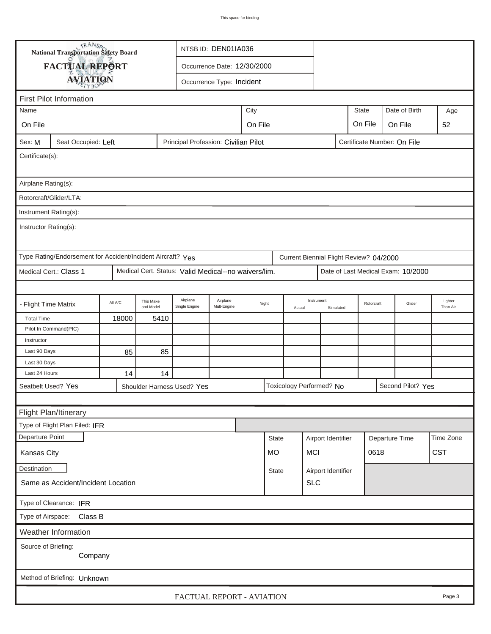|                                                                                                        | <b>National Transportation Safety Board</b><br>NTSB ID: DEN01IA036                                                |       |      |                                      |  |  |              |                               |                    |           |                             |  |                                    |                     |  |
|--------------------------------------------------------------------------------------------------------|-------------------------------------------------------------------------------------------------------------------|-------|------|--------------------------------------|--|--|--------------|-------------------------------|--------------------|-----------|-----------------------------|--|------------------------------------|---------------------|--|
| FACTUAL REPORT<br>Occurrence Date: 12/30/2000                                                          |                                                                                                                   |       |      |                                      |  |  |              |                               |                    |           |                             |  |                                    |                     |  |
| <b>AVIATION</b><br>Occurrence Type: Incident                                                           |                                                                                                                   |       |      |                                      |  |  |              |                               |                    |           |                             |  |                                    |                     |  |
|                                                                                                        |                                                                                                                   |       |      |                                      |  |  |              |                               |                    |           |                             |  |                                    |                     |  |
|                                                                                                        | <b>First Pilot Information</b><br>Age                                                                             |       |      |                                      |  |  |              |                               |                    |           |                             |  |                                    |                     |  |
| City<br>Name                                                                                           |                                                                                                                   |       |      |                                      |  |  |              | Date of Birth<br><b>State</b> |                    |           |                             |  |                                    |                     |  |
| On File                                                                                                | On File<br>On File<br>On File                                                                                     |       |      |                                      |  |  |              |                               |                    |           |                             |  | 52                                 |                     |  |
| Sex: M                                                                                                 | Seat Occupied: Left                                                                                               |       |      | Principal Profession: Civilian Pilot |  |  |              |                               |                    |           | Certificate Number: On File |  |                                    |                     |  |
| Certificate(s):                                                                                        |                                                                                                                   |       |      |                                      |  |  |              |                               |                    |           |                             |  |                                    |                     |  |
| Airplane Rating(s):                                                                                    |                                                                                                                   |       |      |                                      |  |  |              |                               |                    |           |                             |  |                                    |                     |  |
| Rotorcraft/Glider/LTA:                                                                                 |                                                                                                                   |       |      |                                      |  |  |              |                               |                    |           |                             |  |                                    |                     |  |
|                                                                                                        | Instrument Rating(s):                                                                                             |       |      |                                      |  |  |              |                               |                    |           |                             |  |                                    |                     |  |
| Instructor Rating(s):                                                                                  |                                                                                                                   |       |      |                                      |  |  |              |                               |                    |           |                             |  |                                    |                     |  |
| Type Rating/Endorsement for Accident/Incident Aircraft? Yes<br>Current Biennial Flight Review? 04/2000 |                                                                                                                   |       |      |                                      |  |  |              |                               |                    |           |                             |  |                                    |                     |  |
| Medical Cert.: Class 1<br>Medical Cert. Status: Valid Medical--no waivers/lim.                         |                                                                                                                   |       |      |                                      |  |  |              |                               |                    |           |                             |  | Date of Last Medical Exam: 10/2000 |                     |  |
|                                                                                                        |                                                                                                                   |       |      |                                      |  |  |              |                               |                    |           |                             |  |                                    |                     |  |
|                                                                                                        | Airplane<br>Airplane<br>This Make<br>All A/C<br>- Flight Time Matrix<br>Mult-Engine<br>and Model<br>Single Engine |       |      |                                      |  |  | Night        | Actual                        | Instrument         | Simulated | Rotorcraft                  |  | Glider                             | Lighter<br>Than Air |  |
| <b>Total Time</b>                                                                                      |                                                                                                                   | 18000 | 5410 |                                      |  |  |              |                               |                    |           |                             |  |                                    |                     |  |
|                                                                                                        | Pilot In Command(PIC)                                                                                             |       |      |                                      |  |  |              |                               |                    |           |                             |  |                                    |                     |  |
| Instructor                                                                                             |                                                                                                                   |       |      |                                      |  |  |              |                               |                    |           |                             |  |                                    |                     |  |
| Last 90 Days                                                                                           |                                                                                                                   | 85    | 85   |                                      |  |  |              |                               |                    |           |                             |  |                                    |                     |  |
| Last 30 Days                                                                                           |                                                                                                                   |       |      |                                      |  |  |              |                               |                    |           |                             |  |                                    |                     |  |
| Last 24 Hours                                                                                          |                                                                                                                   | 14    | 14   |                                      |  |  |              |                               |                    |           |                             |  |                                    |                     |  |
| Seatbelt Used? Yes<br>Toxicology Performed? No<br>Second Pilot? Yes<br>Shoulder Harness Used? Yes      |                                                                                                                   |       |      |                                      |  |  |              |                               |                    |           |                             |  |                                    |                     |  |
|                                                                                                        |                                                                                                                   |       |      |                                      |  |  |              |                               |                    |           |                             |  |                                    |                     |  |
|                                                                                                        | <b>Flight Plan/Itinerary</b>                                                                                      |       |      |                                      |  |  |              |                               |                    |           |                             |  |                                    |                     |  |
| Type of Flight Plan Filed: IFR                                                                         |                                                                                                                   |       |      |                                      |  |  |              |                               |                    |           |                             |  |                                    |                     |  |
| Departure Point                                                                                        |                                                                                                                   |       |      |                                      |  |  | <b>State</b> |                               | Airport Identifier |           | Departure Time              |  |                                    | Time Zone           |  |
| <b>CST</b><br><b>MCI</b><br>0618<br>Kansas City<br>MO                                                  |                                                                                                                   |       |      |                                      |  |  |              |                               |                    |           |                             |  |                                    |                     |  |
|                                                                                                        | Destination<br>Airport Identifier<br><b>State</b>                                                                 |       |      |                                      |  |  |              |                               |                    |           |                             |  |                                    |                     |  |
| <b>SLC</b><br>Same as Accident/Incident Location                                                       |                                                                                                                   |       |      |                                      |  |  |              |                               |                    |           |                             |  |                                    |                     |  |
| Type of Clearance: IFR                                                                                 |                                                                                                                   |       |      |                                      |  |  |              |                               |                    |           |                             |  |                                    |                     |  |
| Type of Airspace: Class B                                                                              |                                                                                                                   |       |      |                                      |  |  |              |                               |                    |           |                             |  |                                    |                     |  |
|                                                                                                        | Weather Information                                                                                               |       |      |                                      |  |  |              |                               |                    |           |                             |  |                                    |                     |  |
| Source of Briefing:                                                                                    | Company                                                                                                           |       |      |                                      |  |  |              |                               |                    |           |                             |  |                                    |                     |  |
|                                                                                                        | Method of Briefing: Unknown                                                                                       |       |      |                                      |  |  |              |                               |                    |           |                             |  |                                    |                     |  |
|                                                                                                        | FACTUAL REPORT - AVIATION<br>Page 3                                                                               |       |      |                                      |  |  |              |                               |                    |           |                             |  |                                    |                     |  |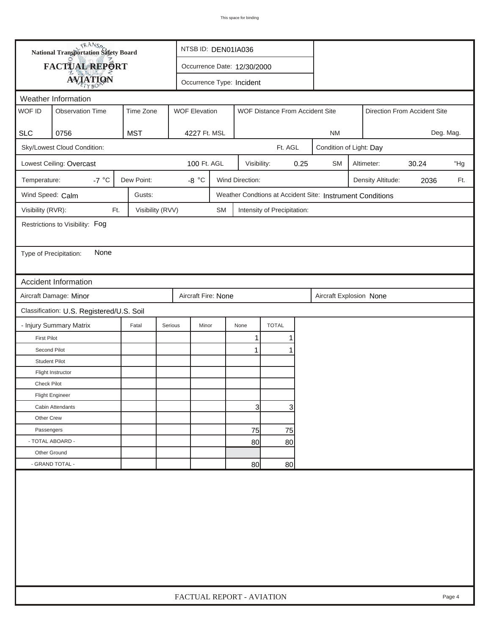| FACTUAL REPORT<br>Occurrence Date: 12/30/2000<br><b>AVIATION</b><br>Occurrence Type: Incident<br>Weather Information<br>WOF ID<br><b>Observation Time</b><br>Time Zone<br><b>WOF Elevation</b><br>WOF Distance From Accident Site<br>Direction From Accident Site<br><b>MST</b><br><b>SLC</b><br>0756<br>Deg. Mag.<br>4227 Ft. MSL<br><b>NM</b><br>Sky/Lowest Cloud Condition:<br>Ft. AGL<br>Condition of Light: Day<br>Lowest Ceiling: Overcast<br>100 Ft. AGL<br>0.25<br>30.24<br>Visibility:<br><b>SM</b><br>Altimeter:<br>-7 $^{\circ}$ C<br>Wind Direction:<br>Dew Point:<br>-8 $^{\circ} \text{C}$<br>Temperature:<br>Density Altitude:<br>2036<br>Wind Speed: Calm<br>Gusts:<br>Weather Condtions at Accident Site: Instrument Conditions<br>Visibility (RVR):<br>Visibility (RVV)<br>Ft.<br><b>SM</b><br>Intensity of Precipitation:<br>Restrictions to Visibility: Fog<br>None<br>Type of Precipitation:<br>Accident Information<br>Aircraft Damage: Minor<br>Aircraft Fire: None<br>Aircraft Explosion None<br>Classification: U.S. Registered/U.S. Soil<br><b>TOTAL</b><br>- Injury Summary Matrix<br>Fatal<br>Serious<br>Minor<br>None<br><b>First Pilot</b><br>1<br>1<br>Second Pilot<br>1<br><b>Student Pilot</b><br>Flight Instructor<br>Check Pilot<br><b>Flight Engineer</b><br>3<br>3<br>Cabin Attendants<br>Other Crew<br>Passengers<br>75<br>75<br>- TOTAL ABOARD -<br>80<br>80 |  | <b>National Transportation Safety Board</b> |  |                           | NTSB ID: DEN01IA036 |  |  |  |  |  |     |  |        |
|-----------------------------------------------------------------------------------------------------------------------------------------------------------------------------------------------------------------------------------------------------------------------------------------------------------------------------------------------------------------------------------------------------------------------------------------------------------------------------------------------------------------------------------------------------------------------------------------------------------------------------------------------------------------------------------------------------------------------------------------------------------------------------------------------------------------------------------------------------------------------------------------------------------------------------------------------------------------------------------------------------------------------------------------------------------------------------------------------------------------------------------------------------------------------------------------------------------------------------------------------------------------------------------------------------------------------------------------------------------------------------------------------------|--|---------------------------------------------|--|---------------------------|---------------------|--|--|--|--|--|-----|--|--------|
|                                                                                                                                                                                                                                                                                                                                                                                                                                                                                                                                                                                                                                                                                                                                                                                                                                                                                                                                                                                                                                                                                                                                                                                                                                                                                                                                                                                                     |  |                                             |  |                           |                     |  |  |  |  |  |     |  |        |
|                                                                                                                                                                                                                                                                                                                                                                                                                                                                                                                                                                                                                                                                                                                                                                                                                                                                                                                                                                                                                                                                                                                                                                                                                                                                                                                                                                                                     |  |                                             |  |                           |                     |  |  |  |  |  |     |  |        |
|                                                                                                                                                                                                                                                                                                                                                                                                                                                                                                                                                                                                                                                                                                                                                                                                                                                                                                                                                                                                                                                                                                                                                                                                                                                                                                                                                                                                     |  |                                             |  |                           |                     |  |  |  |  |  |     |  |        |
|                                                                                                                                                                                                                                                                                                                                                                                                                                                                                                                                                                                                                                                                                                                                                                                                                                                                                                                                                                                                                                                                                                                                                                                                                                                                                                                                                                                                     |  |                                             |  |                           |                     |  |  |  |  |  |     |  |        |
|                                                                                                                                                                                                                                                                                                                                                                                                                                                                                                                                                                                                                                                                                                                                                                                                                                                                                                                                                                                                                                                                                                                                                                                                                                                                                                                                                                                                     |  |                                             |  |                           |                     |  |  |  |  |  |     |  |        |
|                                                                                                                                                                                                                                                                                                                                                                                                                                                                                                                                                                                                                                                                                                                                                                                                                                                                                                                                                                                                                                                                                                                                                                                                                                                                                                                                                                                                     |  |                                             |  |                           |                     |  |  |  |  |  |     |  |        |
|                                                                                                                                                                                                                                                                                                                                                                                                                                                                                                                                                                                                                                                                                                                                                                                                                                                                                                                                                                                                                                                                                                                                                                                                                                                                                                                                                                                                     |  |                                             |  |                           |                     |  |  |  |  |  |     |  |        |
|                                                                                                                                                                                                                                                                                                                                                                                                                                                                                                                                                                                                                                                                                                                                                                                                                                                                                                                                                                                                                                                                                                                                                                                                                                                                                                                                                                                                     |  |                                             |  |                           |                     |  |  |  |  |  | "Hg |  |        |
|                                                                                                                                                                                                                                                                                                                                                                                                                                                                                                                                                                                                                                                                                                                                                                                                                                                                                                                                                                                                                                                                                                                                                                                                                                                                                                                                                                                                     |  |                                             |  |                           |                     |  |  |  |  |  |     |  | Ft.    |
|                                                                                                                                                                                                                                                                                                                                                                                                                                                                                                                                                                                                                                                                                                                                                                                                                                                                                                                                                                                                                                                                                                                                                                                                                                                                                                                                                                                                     |  |                                             |  |                           |                     |  |  |  |  |  |     |  |        |
|                                                                                                                                                                                                                                                                                                                                                                                                                                                                                                                                                                                                                                                                                                                                                                                                                                                                                                                                                                                                                                                                                                                                                                                                                                                                                                                                                                                                     |  |                                             |  |                           |                     |  |  |  |  |  |     |  |        |
|                                                                                                                                                                                                                                                                                                                                                                                                                                                                                                                                                                                                                                                                                                                                                                                                                                                                                                                                                                                                                                                                                                                                                                                                                                                                                                                                                                                                     |  |                                             |  |                           |                     |  |  |  |  |  |     |  |        |
|                                                                                                                                                                                                                                                                                                                                                                                                                                                                                                                                                                                                                                                                                                                                                                                                                                                                                                                                                                                                                                                                                                                                                                                                                                                                                                                                                                                                     |  |                                             |  |                           |                     |  |  |  |  |  |     |  |        |
|                                                                                                                                                                                                                                                                                                                                                                                                                                                                                                                                                                                                                                                                                                                                                                                                                                                                                                                                                                                                                                                                                                                                                                                                                                                                                                                                                                                                     |  |                                             |  |                           |                     |  |  |  |  |  |     |  |        |
|                                                                                                                                                                                                                                                                                                                                                                                                                                                                                                                                                                                                                                                                                                                                                                                                                                                                                                                                                                                                                                                                                                                                                                                                                                                                                                                                                                                                     |  |                                             |  |                           |                     |  |  |  |  |  |     |  |        |
|                                                                                                                                                                                                                                                                                                                                                                                                                                                                                                                                                                                                                                                                                                                                                                                                                                                                                                                                                                                                                                                                                                                                                                                                                                                                                                                                                                                                     |  |                                             |  |                           |                     |  |  |  |  |  |     |  |        |
|                                                                                                                                                                                                                                                                                                                                                                                                                                                                                                                                                                                                                                                                                                                                                                                                                                                                                                                                                                                                                                                                                                                                                                                                                                                                                                                                                                                                     |  |                                             |  |                           |                     |  |  |  |  |  |     |  |        |
|                                                                                                                                                                                                                                                                                                                                                                                                                                                                                                                                                                                                                                                                                                                                                                                                                                                                                                                                                                                                                                                                                                                                                                                                                                                                                                                                                                                                     |  |                                             |  |                           |                     |  |  |  |  |  |     |  |        |
|                                                                                                                                                                                                                                                                                                                                                                                                                                                                                                                                                                                                                                                                                                                                                                                                                                                                                                                                                                                                                                                                                                                                                                                                                                                                                                                                                                                                     |  |                                             |  |                           |                     |  |  |  |  |  |     |  |        |
|                                                                                                                                                                                                                                                                                                                                                                                                                                                                                                                                                                                                                                                                                                                                                                                                                                                                                                                                                                                                                                                                                                                                                                                                                                                                                                                                                                                                     |  |                                             |  |                           |                     |  |  |  |  |  |     |  |        |
|                                                                                                                                                                                                                                                                                                                                                                                                                                                                                                                                                                                                                                                                                                                                                                                                                                                                                                                                                                                                                                                                                                                                                                                                                                                                                                                                                                                                     |  |                                             |  |                           |                     |  |  |  |  |  |     |  |        |
|                                                                                                                                                                                                                                                                                                                                                                                                                                                                                                                                                                                                                                                                                                                                                                                                                                                                                                                                                                                                                                                                                                                                                                                                                                                                                                                                                                                                     |  |                                             |  |                           |                     |  |  |  |  |  |     |  |        |
|                                                                                                                                                                                                                                                                                                                                                                                                                                                                                                                                                                                                                                                                                                                                                                                                                                                                                                                                                                                                                                                                                                                                                                                                                                                                                                                                                                                                     |  |                                             |  |                           |                     |  |  |  |  |  |     |  |        |
|                                                                                                                                                                                                                                                                                                                                                                                                                                                                                                                                                                                                                                                                                                                                                                                                                                                                                                                                                                                                                                                                                                                                                                                                                                                                                                                                                                                                     |  |                                             |  |                           |                     |  |  |  |  |  |     |  |        |
|                                                                                                                                                                                                                                                                                                                                                                                                                                                                                                                                                                                                                                                                                                                                                                                                                                                                                                                                                                                                                                                                                                                                                                                                                                                                                                                                                                                                     |  |                                             |  |                           |                     |  |  |  |  |  |     |  |        |
|                                                                                                                                                                                                                                                                                                                                                                                                                                                                                                                                                                                                                                                                                                                                                                                                                                                                                                                                                                                                                                                                                                                                                                                                                                                                                                                                                                                                     |  |                                             |  |                           |                     |  |  |  |  |  |     |  |        |
|                                                                                                                                                                                                                                                                                                                                                                                                                                                                                                                                                                                                                                                                                                                                                                                                                                                                                                                                                                                                                                                                                                                                                                                                                                                                                                                                                                                                     |  |                                             |  |                           |                     |  |  |  |  |  |     |  |        |
|                                                                                                                                                                                                                                                                                                                                                                                                                                                                                                                                                                                                                                                                                                                                                                                                                                                                                                                                                                                                                                                                                                                                                                                                                                                                                                                                                                                                     |  |                                             |  |                           |                     |  |  |  |  |  |     |  |        |
|                                                                                                                                                                                                                                                                                                                                                                                                                                                                                                                                                                                                                                                                                                                                                                                                                                                                                                                                                                                                                                                                                                                                                                                                                                                                                                                                                                                                     |  |                                             |  |                           |                     |  |  |  |  |  |     |  |        |
| Other Ground                                                                                                                                                                                                                                                                                                                                                                                                                                                                                                                                                                                                                                                                                                                                                                                                                                                                                                                                                                                                                                                                                                                                                                                                                                                                                                                                                                                        |  |                                             |  |                           |                     |  |  |  |  |  |     |  |        |
| - GRAND TOTAL -<br>80<br>80                                                                                                                                                                                                                                                                                                                                                                                                                                                                                                                                                                                                                                                                                                                                                                                                                                                                                                                                                                                                                                                                                                                                                                                                                                                                                                                                                                         |  |                                             |  |                           |                     |  |  |  |  |  |     |  |        |
|                                                                                                                                                                                                                                                                                                                                                                                                                                                                                                                                                                                                                                                                                                                                                                                                                                                                                                                                                                                                                                                                                                                                                                                                                                                                                                                                                                                                     |  |                                             |  | FACTUAL REPORT - AVIATION |                     |  |  |  |  |  |     |  | Page 4 |